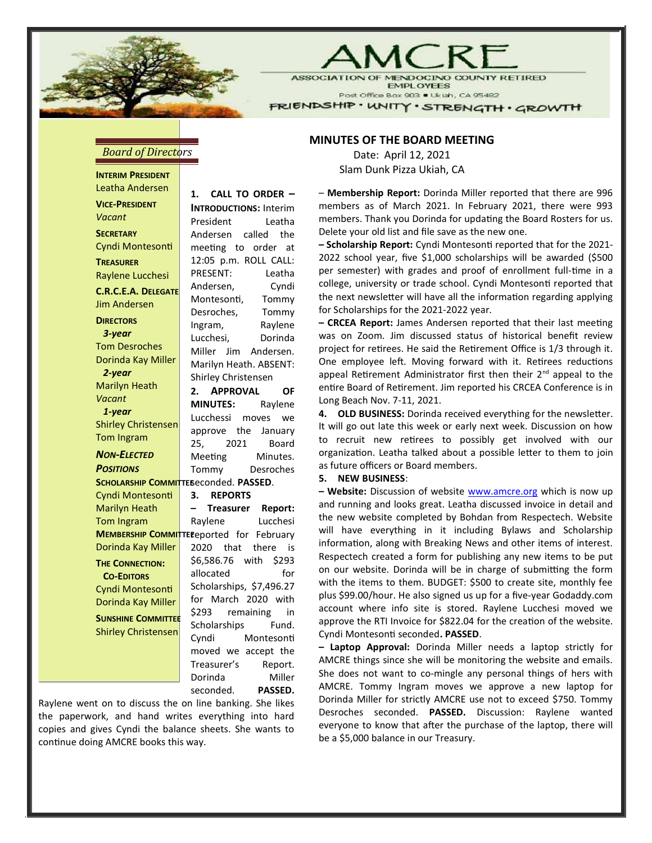

## $\setminus$  AC  $\vdash$

**ASSOCIATION OI DOCINO COUNTY RETIRED EMPLOYEES** Post Office Box 903 . Ukiah, CA 95482

FRIENDSHIP · WNITY · STRENGTH · GROWTH

## **Board of Directors**

INTERIM PRESIDENT Leatha Andersen VICE-PRESIDENT Vacant **SECRETARY** Cyndi Montesonti **TREASURER** Raylene Lucchesi C.R.C.E.A. DELEGATE Jim Andersen **DIRECTORS**  3-year Tom Desroches Dorinda Kay Miller 2-year Marilyn Heath Vacant 1-year Shirley Christensen Tom Ingram NON-ELECTED **POSITIONS** SCHOLARSHIP COMMITTE Seconded. PASSED. Cyndi Montesonti Marilyn Heath Tom Ingram Dorinda Kay Miller THE CONNECTION: CO-EDITORS Cyndi Montesonti Dorinda Kay Miller SUNSHINE COMMITTEE Shirley Christensen 1. CALL TO ORDER –

MEMBERSHIP COMMITTE Eeported for February INTRODUCTIONS: Interim President Leatha Andersen called the meeting to order at 12:05 p.m. ROLL CALL: PRESENT: Leatha Andersen, Cyndi Montesonti, Tommy Desroches, Tommy Ingram, Raylene Lucchesi, Dorinda Miller Jim Andersen. Marilyn Heath. ABSENT: Shirley Christensen 2. APPROVAL OF MINUTES: Raylene Lucchessi moves we approve the January 25, 2021 Board Meeting Minutes. Tommy Desroches 3. REPORTS – Treasurer Report: Raylene Lucchesi 2020 that there is \$6,586.76 with \$293 allocated for Scholarships, \$7,496.27 for March 2020 with \$293 remaining in Scholarships Fund. Cyndi Montesonti moved we accept the Treasurer's Report. Dorinda Miller

seconded. PASSED.

Raylene went on to discuss the on line banking. She likes the paperwork, and hand writes everything into hard copies and gives Cyndi the balance sheets. She wants to continue doing AMCRE books this way.

## MINUTES OF THE BOARD MEETING

Date: April 12, 2021 Slam Dunk Pizza Ukiah, CA

– Membership Report: Dorinda Miller reported that there are 996 members as of March 2021. In February 2021, there were 993 members. Thank you Dorinda for updating the Board Rosters for us. Delete your old list and file save as the new one.

- Scholarship Report: Cyndi Montesonti reported that for the 2021-2022 school year, five \$1,000 scholarships will be awarded (\$500 per semester) with grades and proof of enrollment full-time in a college, university or trade school. Cyndi Montesonti reported that the next newsletter will have all the information regarding applying for Scholarships for the 2021-2022 year.

- CRCEA Report: James Andersen reported that their last meeting was on Zoom. Jim discussed status of historical benefit review project for retirees. He said the Retirement Office is 1/3 through it. One employee left. Moving forward with it. Retirees reductions appeal Retirement Administrator first then their  $2^{nd}$  appeal to the entire Board of Retirement. Jim reported his CRCEA Conference is in Long Beach Nov. 7-11, 2021.

4. OLD BUSINESS: Dorinda received everything for the newsletter. It will go out late this week or early next week. Discussion on how to recruit new retirees to possibly get involved with our organization. Leatha talked about a possible letter to them to join as future officers or Board members.

## 5. NEW BUSINESS:

– Website: Discussion of website www.amcre.org which is now up and running and looks great. Leatha discussed invoice in detail and the new website completed by Bohdan from Respectech. Website will have everything in it including Bylaws and Scholarship information, along with Breaking News and other items of interest. Respectech created a form for publishing any new items to be put on our website. Dorinda will be in charge of submitting the form with the items to them. BUDGET: \$500 to create site, monthly fee plus \$99.00/hour. He also signed us up for a five-year Godaddy.com account where info site is stored. Raylene Lucchesi moved we approve the RTI Invoice for \$822.04 for the creation of the website. Cyndi Montesonti seconded. PASSED.

– Laptop Approval: Dorinda Miller needs a laptop strictly for AMCRE things since she will be monitoring the website and emails. She does not want to co-mingle any personal things of hers with AMCRE. Tommy Ingram moves we approve a new laptop for Dorinda Miller for strictly AMCRE use not to exceed \$750. Tommy Desroches seconded. PASSED. Discussion: Raylene wanted everyone to know that after the purchase of the laptop, there will be a \$5,000 balance in our Treasury.